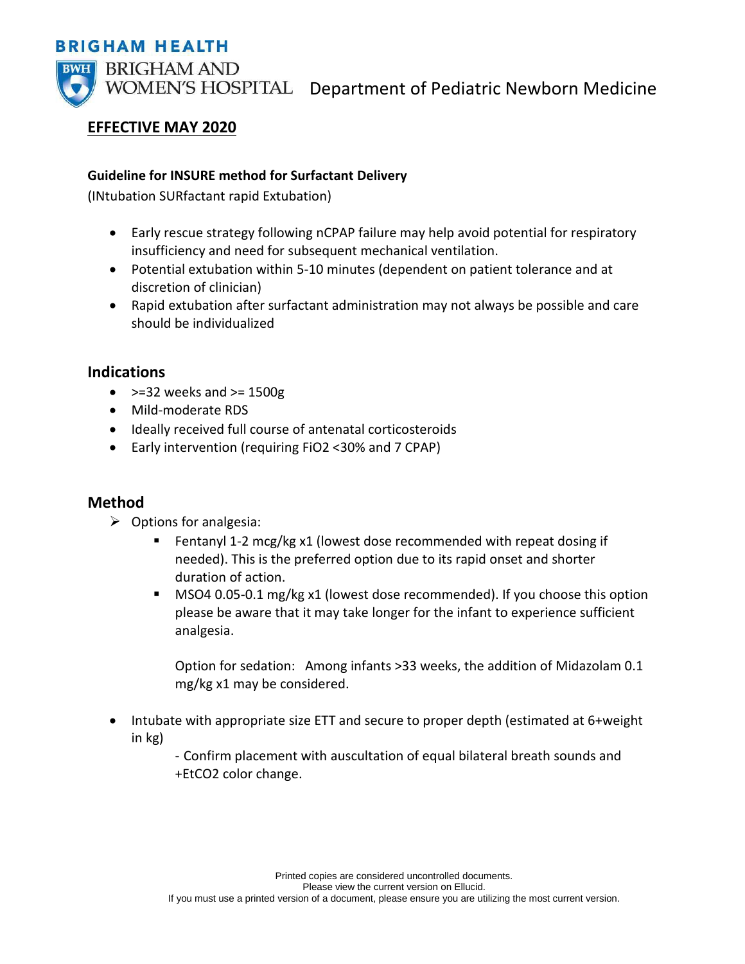### **BRIGHAM HEALTH**



WOMEN'S HOSPITAL Department of Pediatric Newborn Medicine

# **EFFECTIVE MAY 2020**

#### **Guideline for INSURE method for Surfactant Delivery**

(INtubation SURfactant rapid Extubation)

- Early rescue strategy following nCPAP failure may help avoid potential for respiratory insufficiency and need for subsequent mechanical ventilation.
- Potential extubation within 5-10 minutes (dependent on patient tolerance and at discretion of clinician)
- Rapid extubation after surfactant administration may not always be possible and care should be individualized

## **Indications**

- $\bullet$  >=32 weeks and >= 1500g
- Mild-moderate RDS
- Ideally received full course of antenatal corticosteroids
- Early intervention (requiring FiO2 <30% and 7 CPAP)

## **Method**

- $\triangleright$  Options for analgesia:
	- Fentanyl 1-2 mcg/kg x1 (lowest dose recommended with repeat dosing if needed). This is the preferred option due to its rapid onset and shorter duration of action.
	- **MSO4 0.05-0.1 mg/kg x1 (lowest dose recommended). If you choose this option** please be aware that it may take longer for the infant to experience sufficient analgesia.

Option for sedation: Among infants >33 weeks, the addition of Midazolam 0.1 mg/kg x1 may be considered.

• Intubate with appropriate size ETT and secure to proper depth (estimated at 6+weight in kg)

> - Confirm placement with auscultation of equal bilateral breath sounds and +EtCO2 color change.